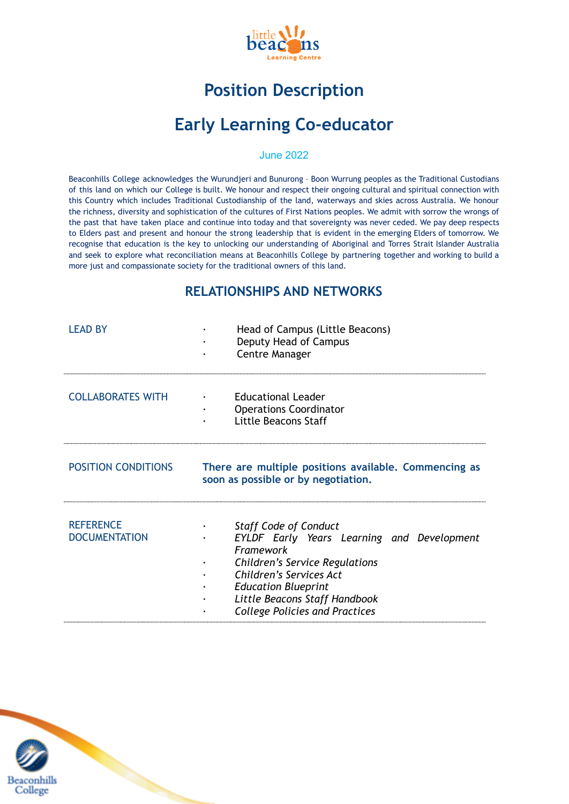

# **Position Description**

# **Early Learning Co-educator**

#### June 2022

Beaconhills College acknowledges the Wurundjeri and Bunurong – Boon Wurrung peoples as the Traditional Custodians of this land on which our College is built. We honour and respect their ongoing cultural and spiritual connection with this Country which includes Traditional Custodianship of the land, waterways and skies across Australia. We honour the richness, diversity and sophistication of the cultures of First Nations peoples. We admit with sorrow the wrongs of the past that have taken place and continue into today and that sovereignty was never ceded. We pay deep respects to Elders past and present and honour the strong leadership that is evident in the emerging Elders of tomorrow. We recognise that education is the key to unlocking our understanding of Aboriginal and Torres Strait Islander Australia and seek to explore what reconciliation means at Beaconhills College by partnering together and working to build a more just and compassionate society for the traditional owners of this land.

#### **RELATIONSHIPS AND NETWORKS**

| <b>I FAD BY</b>                          | Head of Campus (Little Beacons)<br>Deputy Head of Campus<br><b>Centre Manager</b>                                                                                                                                                                                          |
|------------------------------------------|----------------------------------------------------------------------------------------------------------------------------------------------------------------------------------------------------------------------------------------------------------------------------|
| <b>COLLABORATES WITH</b>                 | <b>Educational Leader</b><br><b>Operations Coordinator</b><br>Little Beacons Staff                                                                                                                                                                                         |
| <b>POSITION CONDITIONS</b>               | There are multiple positions available. Commencing as<br>soon as possible or by negotiation.                                                                                                                                                                               |
| <b>REFERENCE</b><br><b>DOCUMENTATION</b> | <b>Staff Code of Conduct</b><br><b>EYLDF Early Years Learning and Development</b><br>Framework<br><b>Children's Service Regulations</b><br>Children's Services Act<br><b>Education Blueprint</b><br>Little Beacons Staff Handbook<br><b>College Policies and Practices</b> |

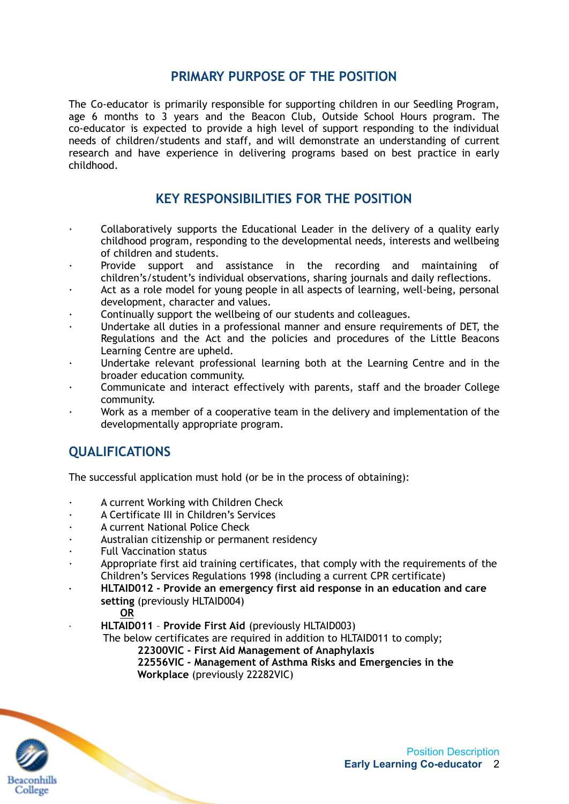### **PRIMARY PURPOSE OF THE POSITION**

The Co-educator is primarily responsible for supporting children in our Seedling Program, age 6 months to 3 years and the Beacon Club, Outside School Hours program. The co-educator is expected to provide a high level of support responding to the individual needs of children/students and staff, and will demonstrate an understanding of current research and have experience in delivering programs based on best practice in early childhood.

#### **KEY RESPONSIBILITIES FOR THE POSITION**

- · Collaboratively supports the Educational Leader in the delivery of a quality early childhood program, responding to the developmental needs, interests and wellbeing of children and students.
- Provide support and assistance in the recording and maintaining of children's/student's individual observations, sharing journals and daily reflections.
- Act as a role model for young people in all aspects of learning, well-being, personal development, character and values.
- · Continually support the wellbeing of our students and colleagues.
- · Undertake all duties in a professional manner and ensure requirements of DET, the Regulations and the Act and the policies and procedures of the Little Beacons Learning Centre are upheld.
- Undertake relevant professional learning both at the Learning Centre and in the broader education community.
- · Communicate and interact effectively with parents, staff and the broader College community.
- · Work as a member of a cooperative team in the delivery and implementation of the developmentally appropriate program.

### **QUALIFICATIONS**

The successful application must hold (or be in the process of obtaining):

- A current Working with Children Check
- · A Certificate III in Children's Services
- A current National Police Check
- Australian citizenship or permanent residency
- **Full Vaccination status**
- Appropriate first aid training certificates, that comply with the requirements of the Children's Services Regulations 1998 (including a current CPR certificate)
- **· HLTAID012 Provide an emergency first aid response in an education and care setting** (previously HLTAID004)

**OR**

· **HLTAID011** – **Provide First Aid** (previously HLTAID003)

The below certificates are required in addition to HLTAID011 to comply;

**22300VIC - First Aid Management of Anaphylaxis**

**22556VIC - Management of Asthma Risks and Emergencies in the Workplace** (previously 22282VIC)

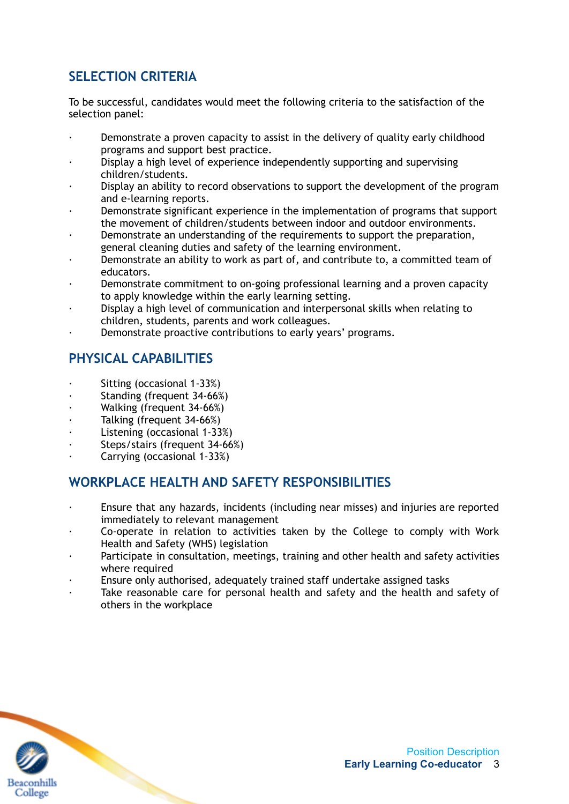# **SELECTION CRITERIA**

To be successful, candidates would meet the following criteria to the satisfaction of the selection panel:

- Demonstrate a proven capacity to assist in the delivery of quality early childhood programs and support best practice.
- Display a high level of experience independently supporting and supervising children/students.
- Display an ability to record observations to support the development of the program and e-learning reports.
- · Demonstrate significant experience in the implementation of programs that support the movement of children/students between indoor and outdoor environments.
- Demonstrate an understanding of the requirements to support the preparation, general cleaning duties and safety of the learning environment.
- · Demonstrate an ability to work as part of, and contribute to, a committed team of educators.
- · Demonstrate commitment to on-going professional learning and a proven capacity to apply knowledge within the early learning setting.
- · Display a high level of communication and interpersonal skills when relating to children, students, parents and work colleagues.
- Demonstrate proactive contributions to early years' programs.

# **PHYSICAL CAPABILITIES**

- · Sitting (occasional 1-33%)
- Standing (frequent 34-66%)
- Walking (frequent 34-66%)
- · Talking (frequent 34-66%)
- Listening (occasional 1-33%)
- Steps/stairs (frequent 34-66%)
- · Carrying (occasional 1-33%)

## **WORKPLACE HEALTH AND SAFETY RESPONSIBILITIES**

- · Ensure that any hazards, incidents (including near misses) and injuries are reported immediately to relevant management
- Co-operate in relation to activities taken by the College to comply with Work Health and Safety (WHS) legislation
- Participate in consultation, meetings, training and other health and safety activities where required
- Ensure only authorised, adequately trained staff undertake assigned tasks
- Take reasonable care for personal health and safety and the health and safety of others in the workplace